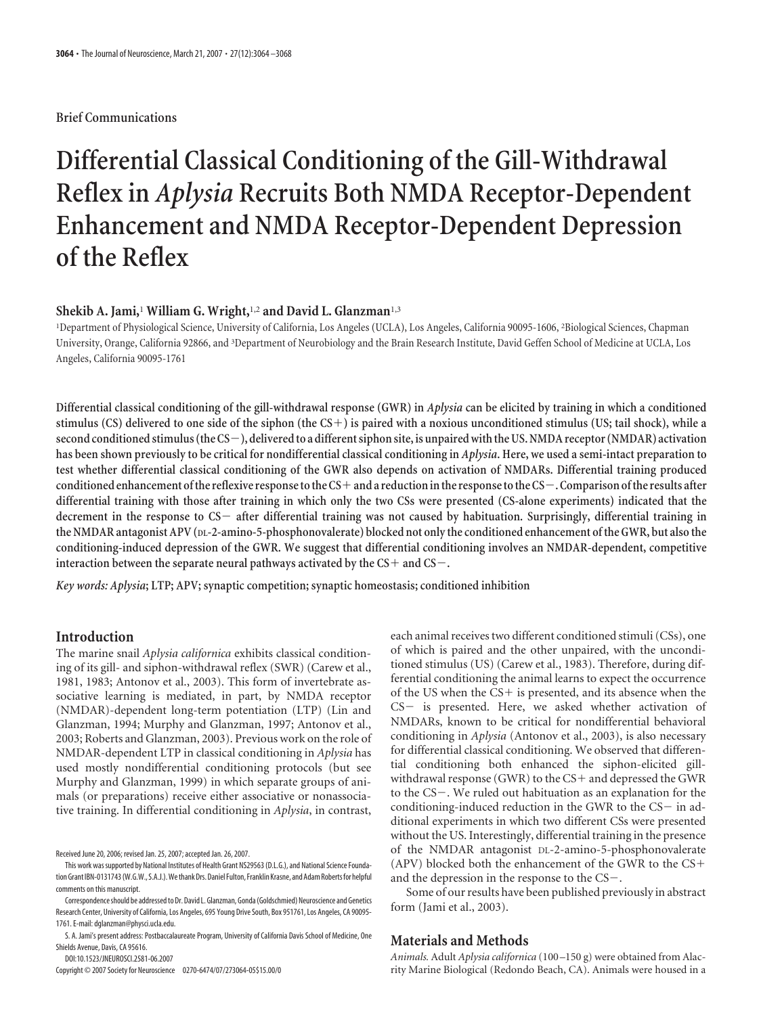# **Brief Communications**

# **Differential Classical Conditioning of the Gill-Withdrawal Reflex in** *Aplysia* **Recruits Both NMDA Receptor-Dependent Enhancement and NMDA Receptor-Dependent Depression of the Reflex**

## **Shekib A. Jami,**<sup>1</sup> **William G. Wright,**1,2 **and David L. Glanzman**1,3

<sup>1</sup>Department of Physiological Science, University of California, Los Angeles (UCLA), Los Angeles, California 90095-1606, <sup>2</sup>Biological Sciences, Chapman University, Orange, California 92866, and <sup>3</sup> Department of Neurobiology and the Brain Research Institute, David Geffen School of Medicine at UCLA, Los Angeles, California 90095-1761

**Differential classical conditioning of the gill-withdrawal response (GWR) in** *Aplysia* **can be elicited by training in which a conditioned stimulus (CS) delivered to one side of the siphon (the CS) is paired with a noxious unconditioned stimulus (US; tail shock), while a** second conditioned stimulus (the CS  $-$  ), delivered to a different siphon site, is unpaired with the US. NMDA receptor (NMDAR) activation **has been shown previously to be critical for nondifferential classical conditioning in** *Aplysia***. Here, we used a semi-intact preparation to test whether differential classical conditioning of the GWR also depends on activation of NMDARs. Differential training produced conditioned enhancement ofthe reflexive responsetothe CSand a reductioninthe responsetothe CS**-**. Comparison ofthe results after differential training with those after training in which only the two CSs were presented (CS-alone experiments) indicated that the decrement in the response to CS**- **after differential training was not caused by habituation. Surprisingly, differential training in the NMDAR antagonist APV (DL-2-amino-5-phosphonovalerate) blocked not onlythe conditioned enhancement ofthe GWR, but alsothe conditioning-induced depression of the GWR. We suggest that differential conditioning involves an NMDAR-dependent, competitive**  $\frac{1}{100}$  interaction between the separate neural pathways activated by the CS  $+$  and CS $-$ .

*Key words: Aplysia***; LTP; APV; synaptic competition; synaptic homeostasis; conditioned inhibition**

## **Introduction**

The marine snail *Aplysia californica* exhibits classical conditioning of its gill- and siphon-withdrawal reflex (SWR) (Carew et al., 1981, 1983; Antonov et al., 2003). This form of invertebrate associative learning is mediated, in part, by NMDA receptor (NMDAR)-dependent long-term potentiation (LTP) (Lin and Glanzman, 1994; Murphy and Glanzman, 1997; Antonov et al., 2003; Roberts and Glanzman, 2003). Previous work on the role of NMDAR-dependent LTP in classical conditioning in *Aplysia* has used mostly nondifferential conditioning protocols (but see Murphy and Glanzman, 1999) in which separate groups of animals (or preparations) receive either associative or nonassociative training. In differential conditioning in *Aplysia*, in contrast,

Received June 20, 2006; revised Jan. 25, 2007; accepted Jan. 26, 2007.

DOI:10.1523/JNEUROSCI.2581-06.2007

Copyright © 2007 Society for Neuroscience 0270-6474/07/273064-05\$15.00/0

each animal receives two different conditioned stimuli (CSs), one of which is paired and the other unpaired, with the unconditioned stimulus (US) (Carew et al., 1983). Therefore, during differential conditioning the animal learns to expect the occurrence of the US when the  $CS$  + is presented, and its absence when the CS- is presented. Here, we asked whether activation of NMDARs, known to be critical for nondifferential behavioral conditioning in *Aplysia* (Antonov et al., 2003), is also necessary for differential classical conditioning. We observed that differential conditioning both enhanced the siphon-elicited gillwithdrawal response (GWR) to the  $CS+$  and depressed the GWR to the CS-. We ruled out habituation as an explanation for the conditioning-induced reduction in the GWR to the  $CS-$  in additional experiments in which two different CSs were presented without the US. Interestingly, differential training in the presence of the NMDAR antagonist DL-2-amino-5-phosphonovalerate (APV) blocked both the enhancement of the GWR to the CS and the depression in the response to the CS-.

Some of our results have been published previously in abstract form (Jami et al., 2003).

#### **Materials and Methods**

*Animals.* Adult *Aplysia californica* (100 –150 g) were obtained from Alacrity Marine Biological (Redondo Beach, CA). Animals were housed in a

This work was supported by National Institutes of Health Grant NS29563 (D.L.G.), and National Science Foundation Grant IBN-0131743 (W.G.W., S.A.J.). We thank Drs. Daniel Fulton, Franklin Krasne, and Adam Roberts for helpful comments on this manuscript.

Correspondenceshould be addressedto Dr. David L. Glanzman, Gonda(Goldschmied) Neuroscience and Genetics Research Center, University of California, Los Angeles, 695 Young Drive South, Box 951761, Los Angeles, CA 90095- 1761. E-mail: dglanzman@physci.ucla.edu.

S. A. Jami's present address: Postbaccalaureate Program, University of California Davis School of Medicine, One Shields Avenue, Davis, CA 95616.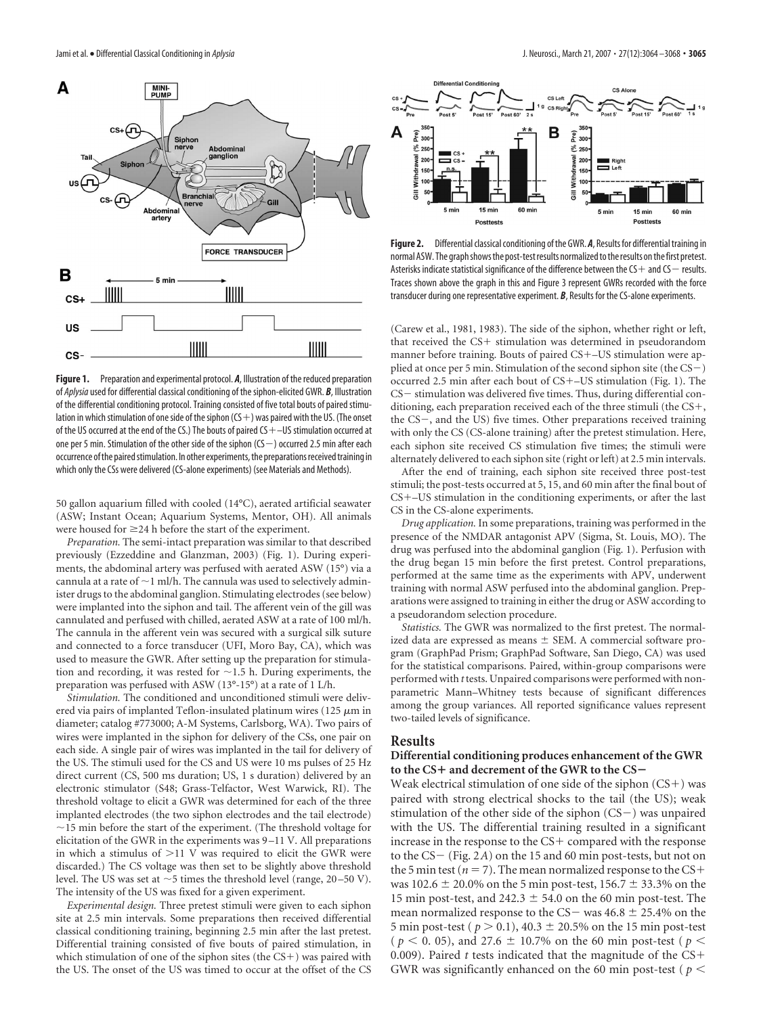

**Figure 1.** Preparation and experimental protocol. *A*, Illustration of the reduced preparation of *Aplysia*used for differential classical conditioning of the siphon-elicited GWR. *B*, Illustration of the differential conditioning protocol. Training consisted of five total bouts of paired stimulation in which stimulation of one side of the siphon  $(CS+)$  was paired with the US. (The onset of the US occurred at the end of the CS.) The bouts of paired  $CS$  + -US stimulation occurred at one per 5 min. Stimulation of the other side of the siphon (CS  $-$  ) occurred 2.5 min after each occurrence of the paired stimulation. In other experiments, the preparations received training in which only the CSs were delivered (CS-alone experiments) (see Materials and Methods).

50 gallon aquarium filled with cooled (14°C), aerated artificial seawater (ASW; Instant Ocean; Aquarium Systems, Mentor, OH). All animals were housed for  $\geq$  24 h before the start of the experiment.

*Preparation.* The semi-intact preparation was similar to that described previously (Ezzeddine and Glanzman, 2003) (Fig. 1). During experiments, the abdominal artery was perfused with aerated ASW (15°) via a cannula at a rate of  $\sim$  1 ml/h. The cannula was used to selectively administer drugs to the abdominal ganglion. Stimulating electrodes (see below) were implanted into the siphon and tail. The afferent vein of the gill was cannulated and perfused with chilled, aerated ASW at a rate of 100 ml/h. The cannula in the afferent vein was secured with a surgical silk suture and connected to a force transducer (UFI, Moro Bay, CA), which was used to measure the GWR. After setting up the preparation for stimulation and recording, it was rested for  $\sim$ 1.5 h. During experiments, the preparation was perfused with ASW (13°-15°) at a rate of 1 L/h.

*Stimulation.* The conditioned and unconditioned stimuli were delivered via pairs of implanted Teflon-insulated platinum wires (125  $\mu$ m in diameter; catalog #773000; A-M Systems, Carlsborg, WA). Two pairs of wires were implanted in the siphon for delivery of the CSs, one pair on each side. A single pair of wires was implanted in the tail for delivery of the US. The stimuli used for the CS and US were 10 ms pulses of 25 Hz direct current (CS, 500 ms duration; US, 1 s duration) delivered by an electronic stimulator (S48; Grass-Telfactor, West Warwick, RI). The threshold voltage to elicit a GWR was determined for each of the three implanted electrodes (the two siphon electrodes and the tail electrode)  $\sim$ 15 min before the start of the experiment. (The threshold voltage for elicitation of the GWR in the experiments was 9 –11 V. All preparations in which a stimulus of  $>$ 11 V was required to elicit the GWR were discarded.) The CS voltage was then set to be slightly above threshold level. The US was set at  $\sim$  5 times the threshold level (range, 20–50 V). The intensity of the US was fixed for a given experiment.

*Experimental design.* Three pretest stimuli were given to each siphon site at 2.5 min intervals. Some preparations then received differential classical conditioning training, beginning 2.5 min after the last pretest. Differential training consisted of five bouts of paired stimulation, in which stimulation of one of the siphon sites (the  $CS+$ ) was paired with the US. The onset of the US was timed to occur at the offset of the CS



**Figure 2.** Differential classical conditioning of the GWR. A, Results for differential training in normal ASW. The graph shows the post-test results normalized to the results on the first pretest. Asterisks indicate statistical significance of the difference between the CS  $+$  and CS  $-$  results. Traces shown above the graph in this and Figure 3 represent GWRs recorded with the force transducer during one representative experiment. *B*, Results for the CS-alone experiments.

(Carew et al., 1981, 1983). The side of the siphon, whether right or left, that received the  $CS$ + stimulation was determined in pseudorandom manner before training. Bouts of paired CS+-US stimulation were applied at once per 5 min. Stimulation of the second siphon site (the  $CS-$ ) occurred 2.5 min after each bout of  $CS +$ -US stimulation (Fig. 1). The CS- stimulation was delivered five times. Thus, during differential conditioning, each preparation received each of the three stimuli (the  $CS+$ , the CS-, and the US) five times. Other preparations received training with only the CS (CS-alone training) after the pretest stimulation. Here, each siphon site received CS stimulation five times; the stimuli were alternately delivered to each siphon site (right or left) at 2.5 min intervals.

After the end of training, each siphon site received three post-test stimuli; the post-tests occurred at 5, 15, and 60 min after the final bout of  $CS$ +-US stimulation in the conditioning experiments, or after the last CS in the CS-alone experiments.

*Drug application.* In some preparations, training was performed in the presence of the NMDAR antagonist APV (Sigma, St. Louis, MO). The drug was perfused into the abdominal ganglion (Fig. 1). Perfusion with the drug began 15 min before the first pretest. Control preparations, performed at the same time as the experiments with APV, underwent training with normal ASW perfused into the abdominal ganglion. Preparations were assigned to training in either the drug or ASW according to a pseudorandom selection procedure.

*Statistics.* The GWR was normalized to the first pretest. The normalized data are expressed as means  $\pm$  SEM. A commercial software program (GraphPad Prism; GraphPad Software, San Diego, CA) was used for the statistical comparisons. Paired, within-group comparisons were performed with *t* tests. Unpaired comparisons were performed with nonparametric Mann–Whitney tests because of significant differences among the group variances. All reported significance values represent two-tailed levels of significance.

## **Results**

# **Differential conditioning produces enhancement of the GWR to the CS and decrement of the GWR to the CS**-

Weak electrical stimulation of one side of the siphon  $(CS+)$  was paired with strong electrical shocks to the tail (the US); weak stimulation of the other side of the siphon (CS-) was unpaired with the US. The differential training resulted in a significant increase in the response to the  $CS$  compared with the response to the CS- (Fig. 2*A*) on the 15 and 60 min post-tests, but not on the 5 min test ( $n = 7$ ). The mean normalized response to the CS+ was 102.6  $\pm$  20.0% on the 5 min post-test, 156.7  $\pm$  33.3% on the 15 min post-test, and 242.3  $\pm$  54.0 on the 60 min post-test. The mean normalized response to the CS  $-$  was 46.8  $\pm$  25.4% on the 5 min post-test ( $p > 0.1$ ), 40.3  $\pm$  20.5% on the 15 min post-test ( $p$  < 0. 05), and 27.6  $\pm$  10.7% on the 60 min post-test ( $p$  < 0.009). Paired *t* tests indicated that the magnitude of the CS GWR was significantly enhanced on the 60 min post-test ( $p <$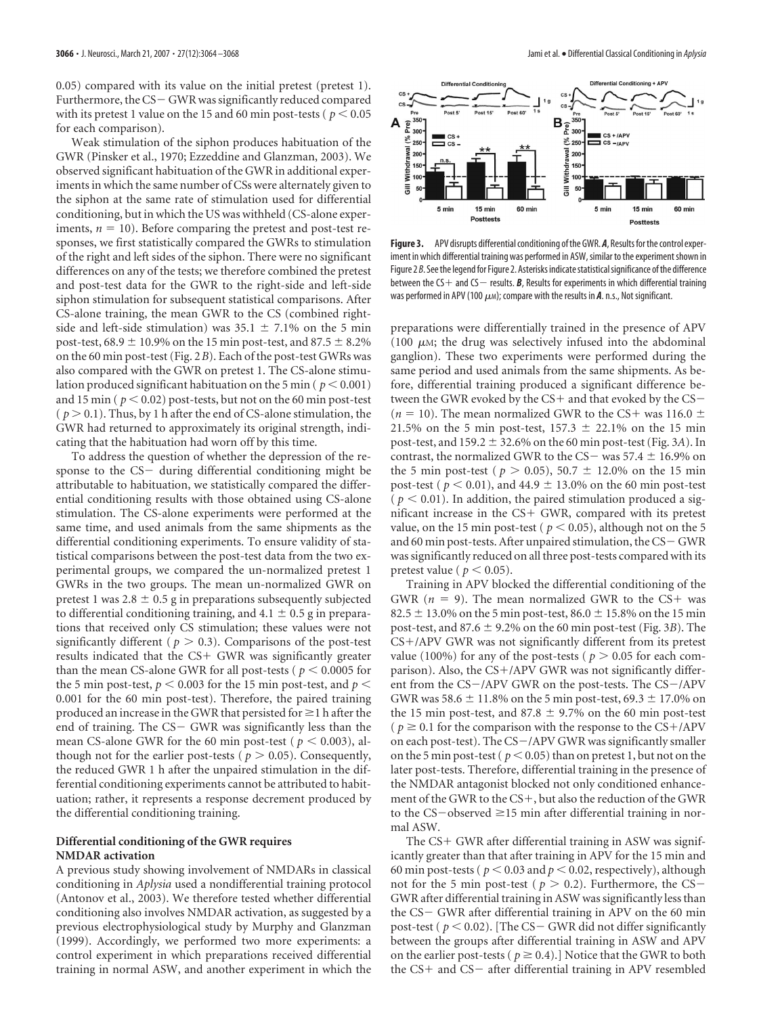0.05) compared with its value on the initial pretest (pretest 1). Furthermore, the CS – GWR was significantly reduced compared with its pretest 1 value on the 15 and 60 min post-tests ( $p < 0.05$ ) for each comparison).

Weak stimulation of the siphon produces habituation of the GWR (Pinsker et al., 1970; Ezzeddine and Glanzman, 2003). We observed significant habituation of the GWR in additional experiments in which the same number of CSs were alternately given to the siphon at the same rate of stimulation used for differential conditioning, but in which the US was withheld (CS-alone experiments,  $n = 10$ ). Before comparing the pretest and post-test responses, we first statistically compared the GWRs to stimulation of the right and left sides of the siphon. There were no significant differences on any of the tests; we therefore combined the pretest and post-test data for the GWR to the right-side and left-side siphon stimulation for subsequent statistical comparisons. After CS-alone training, the mean GWR to the CS (combined rightside and left-side stimulation) was  $35.1 \pm 7.1\%$  on the 5 min post-test,  $68.9 \pm 10.9\%$  on the 15 min post-test, and  $87.5 \pm 8.2\%$ on the 60 min post-test (Fig. 2*B*). Each of the post-test GWRs was also compared with the GWR on pretest 1. The CS-alone stimulation produced significant habituation on the 5 min ( $p < 0.001$ ) and 15 min ( $p < 0.02$ ) post-tests, but not on the 60 min post-test  $(p > 0.1)$ . Thus, by 1 h after the end of CS-alone stimulation, the GWR had returned to approximately its original strength, indicating that the habituation had worn off by this time.

To address the question of whether the depression of the response to the CS- during differential conditioning might be attributable to habituation, we statistically compared the differential conditioning results with those obtained using CS-alone stimulation. The CS-alone experiments were performed at the same time, and used animals from the same shipments as the differential conditioning experiments. To ensure validity of statistical comparisons between the post-test data from the two experimental groups, we compared the un-normalized pretest 1 GWRs in the two groups. The mean un-normalized GWR on pretest 1 was  $2.8 \pm 0.5$  g in preparations subsequently subjected to differential conditioning training, and  $4.1 \pm 0.5$  g in preparations that received only CS stimulation; these values were not significantly different ( $p > 0.3$ ). Comparisons of the post-test results indicated that the  $CS + GWR$  was significantly greater than the mean CS-alone GWR for all post-tests ( $p < 0.0005$  for the 5 min post-test,  $p < 0.003$  for the 15 min post-test, and  $p <$ 0.001 for the 60 min post-test). Therefore, the paired training produced an increase in the GWR that persisted for  $\geq$  1 h after the end of training. The CS- GWR was significantly less than the mean CS-alone GWR for the 60 min post-test ( $p < 0.003$ ), although not for the earlier post-tests ( $p > 0.05$ ). Consequently, the reduced GWR 1 h after the unpaired stimulation in the differential conditioning experiments cannot be attributed to habituation; rather, it represents a response decrement produced by the differential conditioning training.

#### **Differential conditioning of the GWR requires NMDAR activation**

A previous study showing involvement of NMDARs in classical conditioning in *Aplysia* used a nondifferential training protocol (Antonov et al., 2003). We therefore tested whether differential conditioning also involves NMDAR activation, as suggested by a previous electrophysiological study by Murphy and Glanzman (1999). Accordingly, we performed two more experiments: a control experiment in which preparations received differential training in normal ASW, and another experiment in which the



**Figure 3.** APV disrupts differential conditioning ofthe GWR. *A*, Results forthe control experiment in which differential training was performed in ASW, similar to the experiment shown in Figure 2 *B*. See the legend for Figure 2. Asterisks indicate statistical significance of the difference between the CS  $+$  and CS  $-$  results.  $\bm{B}$ , Results for experiments in which differential training was performed in APV (100  $\mu$ м); compare with the results in **A**. n.s., Not significant.

preparations were differentially trained in the presence of APV (100  $\mu$ M; the drug was selectively infused into the abdominal ganglion). These two experiments were performed during the same period and used animals from the same shipments. As before, differential training produced a significant difference between the GWR evoked by the CS+ and that evoked by the CS $-$ ( $n = 10$ ). The mean normalized GWR to the CS+ was 116.0  $\pm$ 21.5% on the 5 min post-test,  $157.3 \pm 22.1$ % on the 15 min post-test, and  $159.2 \pm 32.6\%$  on the 60 min post-test (Fig. 3A). In contrast, the normalized GWR to the CS  $-$  was 57.4  $\pm$  16.9% on the 5 min post-test ( $p > 0.05$ ), 50.7  $\pm$  12.0% on the 15 min post-test ( $p < 0.01$ ), and 44.9  $\pm$  13.0% on the 60 min post-test ( $p < 0.01$ ). In addition, the paired stimulation produced a significant increase in the  $CS + GWR$ , compared with its pretest value, on the 15 min post-test ( $p < 0.05$ ), although not on the 5 and 60 min post-tests. After unpaired stimulation, the  $\operatorname{CS}-\operatorname{GWR}$ was significantly reduced on all three post-tests compared with its pretest value ( $p < 0.05$ ).

Training in APV blocked the differential conditioning of the GWR ( $n = 9$ ). The mean normalized GWR to the CS+ was  $82.5 \pm 13.0\%$  on the 5 min post-test,  $86.0 \pm 15.8\%$  on the 15 min post-test, and  $87.6 \pm 9.2\%$  on the 60 min post-test (Fig. 3*B*). The  $CS+$ /APV GWR was not significantly different from its pretest value (100%) for any of the post-tests ( $p > 0.05$  for each comparison). Also, the  $CS+$ /APV GWR was not significantly different from the CS-/APV GWR on the post-tests. The CS-/APV GWR was 58.6  $\pm$  11.8% on the 5 min post-test, 69.3  $\pm$  17.0% on the 15 min post-test, and 87.8  $\pm$  9.7% on the 60 min post-test ( $p \ge 0.1$  for the comparison with the response to the CS+/APV on each post-test). The CS-/APV GWR was significantly smaller on the 5 min post-test ( $p < 0.05$ ) than on pretest 1, but not on the later post-tests. Therefore, differential training in the presence of the NMDAR antagonist blocked not only conditioned enhancement of the GWR to the  $CS+$ , but also the reduction of the GWR to the  $CS$ -observed  $\geq$ 15 min after differential training in normal ASW.

The  $CS + GWR$  after differential training in ASW was significantly greater than that after training in APV for the 15 min and 60 min post-tests ( $p < 0.03$  and  $p < 0.02$ , respectively), although not for the 5 min post-test ( $p > 0.2$ ). Furthermore, the CS-GWR after differential training in ASW was significantly less than the CS- GWR after differential training in APV on the 60 min post-test (  $p <$  0.02). [The CS $-$  GWR did not differ significantly between the groups after differential training in ASW and APV on the earlier post-tests ( $p \ge 0.4$ ).] Notice that the GWR to both the CS+ and CS- after differential training in APV resembled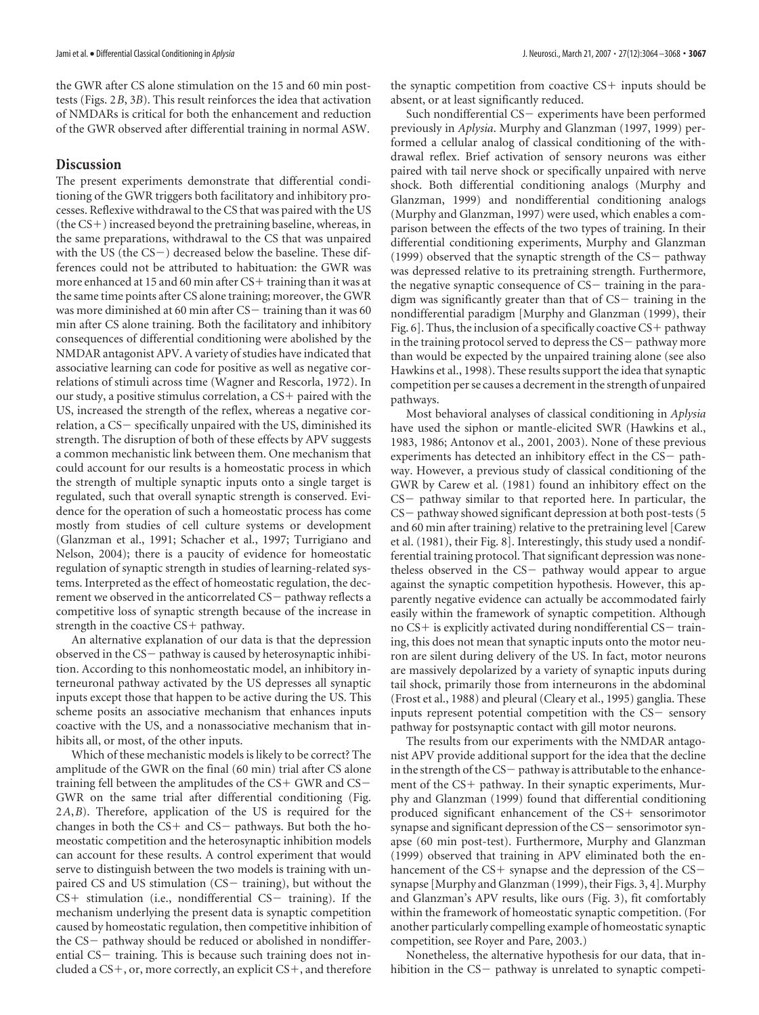the GWR after CS alone stimulation on the 15 and 60 min posttests (Figs. 2*B*, 3*B*). This result reinforces the idea that activation of NMDARs is critical for both the enhancement and reduction of the GWR observed after differential training in normal ASW.

# **Discussion**

The present experiments demonstrate that differential conditioning of the GWR triggers both facilitatory and inhibitory processes. Reflexive withdrawal to the CS that was paired with the US  $(the  $CS$  +) increased beyond the pretraining baseline, whereas, in$ the same preparations, withdrawal to the CS that was unpaired with the US (the CS-) decreased below the baseline. These differences could not be attributed to habituation: the GWR was more enhanced at 15 and 60 min after  $CS$  + training than it was at the same time points after CS alone training; moreover, the GWR was more diminished at 60 min after CS – training than it was 60 min after CS alone training. Both the facilitatory and inhibitory consequences of differential conditioning were abolished by the NMDAR antagonist APV. A variety of studies have indicated that associative learning can code for positive as well as negative correlations of stimuli across time (Wagner and Rescorla, 1972). In our study, a positive stimulus correlation, a  $CS$  + paired with the US, increased the strength of the reflex, whereas a negative correlation, a CS- specifically unpaired with the US, diminished its strength. The disruption of both of these effects by APV suggests a common mechanistic link between them. One mechanism that could account for our results is a homeostatic process in which the strength of multiple synaptic inputs onto a single target is regulated, such that overall synaptic strength is conserved. Evidence for the operation of such a homeostatic process has come mostly from studies of cell culture systems or development (Glanzman et al., 1991; Schacher et al., 1997; Turrigiano and Nelson, 2004); there is a paucity of evidence for homeostatic regulation of synaptic strength in studies of learning-related systems. Interpreted as the effect of homeostatic regulation, the decrement we observed in the anticorrelated  $\mathop{\rm CS-}\nolimits$  pathway reflects a competitive loss of synaptic strength because of the increase in strength in the coactive  $CS$  + pathway.

An alternative explanation of our data is that the depression observed in the CS- pathway is caused by heterosynaptic inhibition. According to this nonhomeostatic model, an inhibitory interneuronal pathway activated by the US depresses all synaptic inputs except those that happen to be active during the US. This scheme posits an associative mechanism that enhances inputs coactive with the US, and a nonassociative mechanism that inhibits all, or most, of the other inputs.

Which of these mechanistic models is likely to be correct? The amplitude of the GWR on the final (60 min) trial after CS alone training fell between the amplitudes of the  $CS+$  GWR and  $CS-$ GWR on the same trial after differential conditioning (Fig. 2*A*,*B*). Therefore, application of the US is required for the changes in both the  $CS+$  and  $CS-$  pathways. But both the homeostatic competition and the heterosynaptic inhibition models can account for these results. A control experiment that would serve to distinguish between the two models is training with unpaired CS and US stimulation (CS- training), but without the  $CS+$  stimulation (i.e., nondifferential  $CS-$  training). If the mechanism underlying the present data is synaptic competition caused by homeostatic regulation, then competitive inhibition of the CS- pathway should be reduced or abolished in nondifferential CS- training. This is because such training does not included a  $CS+$ , or, more correctly, an explicit  $CS+$ , and therefore

the synaptic competition from coactive  $CS$  inputs should be absent, or at least significantly reduced.

Such nondifferential CS- experiments have been performed previously in *Aplysia*. Murphy and Glanzman (1997, 1999) performed a cellular analog of classical conditioning of the withdrawal reflex. Brief activation of sensory neurons was either paired with tail nerve shock or specifically unpaired with nerve shock. Both differential conditioning analogs (Murphy and Glanzman, 1999) and nondifferential conditioning analogs (Murphy and Glanzman, 1997) were used, which enables a comparison between the effects of the two types of training. In their differential conditioning experiments, Murphy and Glanzman  $(1999)$  observed that the synaptic strength of the CS- pathway was depressed relative to its pretraining strength. Furthermore, the negative synaptic consequence of CS-training in the paradigm was significantly greater than that of CS- training in the nondifferential paradigm [Murphy and Glanzman (1999), their Fig. 6]. Thus, the inclusion of a specifically coactive  $CS +$  pathway in the training protocol served to depress the  $\rm{CS-}$  pathway more than would be expected by the unpaired training alone (see also Hawkins et al., 1998). These results support the idea that synaptic competition per se causes a decrement in the strength of unpaired pathways.

Most behavioral analyses of classical conditioning in *Aplysia* have used the siphon or mantle-elicited SWR (Hawkins et al., 1983, 1986; Antonov et al., 2001, 2003). None of these previous experiments has detected an inhibitory effect in the CS- pathway. However, a previous study of classical conditioning of the GWR by Carew et al. (1981) found an inhibitory effect on the CS- pathway similar to that reported here. In particular, the CS- pathway showed significant depression at both post-tests (5 and 60 min after training) relative to the pretraining level [Carew et al. (1981), their Fig. 8]. Interestingly, this study used a nondifferential training protocol. That significant depression was nonetheless observed in the CS- pathway would appear to argue against the synaptic competition hypothesis. However, this apparently negative evidence can actually be accommodated fairly easily within the framework of synaptic competition. Although no CS+ is explicitly activated during nondifferential CS-training, this does not mean that synaptic inputs onto the motor neuron are silent during delivery of the US. In fact, motor neurons are massively depolarized by a variety of synaptic inputs during tail shock, primarily those from interneurons in the abdominal (Frost et al., 1988) and pleural (Cleary et al., 1995) ganglia. These inputs represent potential competition with the CS- sensory pathway for postsynaptic contact with gill motor neurons.

The results from our experiments with the NMDAR antagonist APV provide additional support for the idea that the decline in the strength of the CS- pathway is attributable to the enhancement of the CS+ pathway. In their synaptic experiments, Murphy and Glanzman (1999) found that differential conditioning produced significant enhancement of the  $CS+$  sensorimotor synapse and significant depression of the CS- sensorimotor synapse (60 min post-test). Furthermore, Murphy and Glanzman (1999) observed that training in APV eliminated both the enhancement of the  $CS+$  synapse and the depression of the  $CS$ synapse [Murphy and Glanzman (1999), their Figs. 3, 4]. Murphy and Glanzman's APV results, like ours (Fig. 3), fit comfortably within the framework of homeostatic synaptic competition. (For another particularly compelling example of homeostatic synaptic competition, see Royer and Pare, 2003.)

Nonetheless, the alternative hypothesis for our data, that inhibition in the CS- pathway is unrelated to synaptic competi